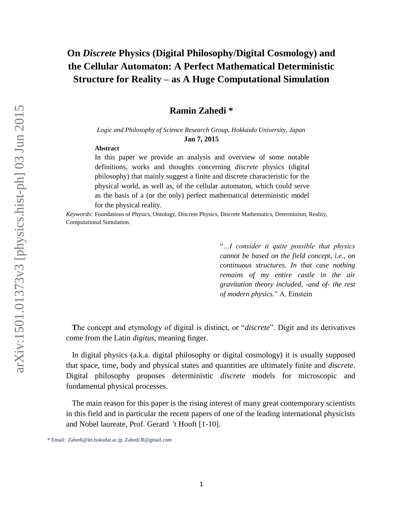## **On** *Discrete* **Physics (Digital Philosophy/Digital Cosmology) and the Cellular Automaton: A Perfect Mathematical Deterministic Structure for Reality – as A Huge Computational Simulation**

#### **Ramin Zahedi \***

*Logic and Philosophy of Science Research Group, Hokkaido University, Japan*  **Jan 7, 2015**

#### **Abstract**

In this paper we provide an analysis and overview of some notable definitions, works and thoughts concerning *discrete* physics (digital philosophy) that mainly suggest a finite and discrete characteristic for the physical world, as well as, of the cellular automaton, which could serve as the basis of a (or the only) perfect mathematical deterministic model for the physical reality.

*Keywords:* Foundations of Physics, Ontology, Discrete Physics, Discrete Mathematics, Determinism, Reality, Computational Simulation.

> "*…I consider it quite possible that physics cannot be based on the field concept, i.e., on continuous structures. In that case nothing remains of my entire castle in the air gravitation theory included, -and of- the rest of modern physics.*" A. Einstein

 **T**he concept and etymology of digital is distinct, or "*discrete*". Digit and its derivatives come from the Latin *digitus*, meaning finger.

 In digital physics (a.k.a. digital philosophy or digital cosmology) it is usually supposed that space, time, body and physical states and quantities are ultimately finite and *discrete*. Digital philosophy proposes deterministic *discrete* models for microscopic and fundamental physical processes.

 The main reason for this paper is the rising interest of many great contemporary scientists in this field and in particular the recent papers of one of the leading international physicists and Nobel laureate, Prof. Gerard 't Hooft [1-10].

<sup>\*</sup> Email: Zahedi@let.hokudai.ac.jp, Zahedi.R@gmail.com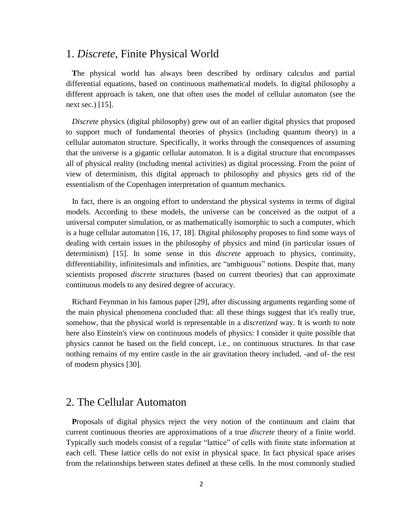## 1. *Discrete*, Finite Physical World

 **T**he physical world has always been described by ordinary calculus and partial differential equations, based on continuous mathematical models. In digital philosophy a different approach is taken, one that often uses the model of cellular automaton (see the next sec.) [15].

 *Discrete* physics (digital philosophy) grew out of an earlier digital physics that proposed to support much of fundamental theories of physics (including quantum theory) in a cellular automaton structure. Specifically, it works through the consequences of assuming that the universe is a gigantic cellular automaton. It is a digital structure that encompasses all of physical reality (including mental activities) as digital processing. From the point of view of determinism, this digital approach to philosophy and physics gets rid of the essentialism of the Copenhagen interpretation of quantum mechanics.

 In fact, there is an ongoing effort to understand the physical systems in terms of digital models. According to these models, the universe can be conceived as the output of a universal computer simulation, or as mathematically isomorphic to such a computer, which is a huge cellular automaton [16, 17, 18]. Digital philosophy proposes to find some ways of dealing with certain issues in the philosophy of physics and mind (in particular issues of determinism) [15]. In some sense in this *discrete* approach to physics, continuity, differentiability, infinitesimals and infinities, are "ambiguous" notions. Despite that, many scientists proposed *discrete* structures (based on current theories) that can approximate continuous models to any desired degree of accuracy.

 Richard Feynman in his famous paper [29], after discussing arguments regarding some of the main physical phenomena concluded that: all these things suggest that it's really true, somehow, that the physical world is representable in a *discretized* way. It is worth to note here also Einstein's view on continuous models of physics: I consider it quite possible that physics cannot be based on the field concept, i.e., on continuous structures. In that case nothing remains of my entire castle in the air gravitation theory included, -and of- the rest of modern physics [30].

## 2. The Cellular Automaton

 **P**roposals of digital physics reject the very notion of the continuum and claim that current continuous theories are approximations of a true *discrete* theory of a finite world. Typically such models consist of a regular "lattice" of cells with finite state information at each cell. These lattice cells do not exist in physical space. In fact physical space arises from the relationships between states defined at these cells. In the most commonly studied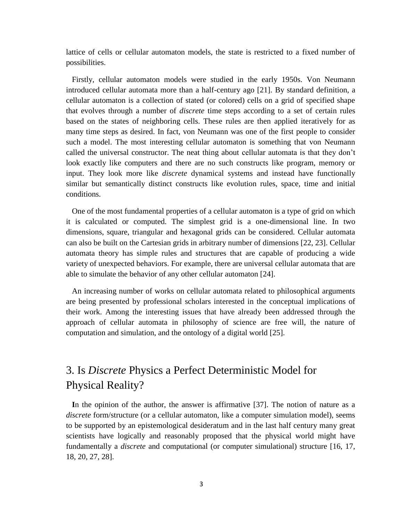lattice of cells or cellular automaton models, the state is restricted to a fixed number of possibilities.

 Firstly, cellular automaton models were studied in the early 1950s. Von Neumann introduced cellular automata more than a half-century ago [21]. By standard definition, a cellular automaton is a collection of stated (or colored) cells on a grid of specified shape that evolves through a number of *discrete* time steps according to a set of certain rules based on the states of neighboring cells. These rules are then applied iteratively for as many time steps as desired. In fact, von Neumann was one of the first people to consider such a model. The most interesting cellular automaton is something that von Neumann called the universal constructor. The neat thing about cellular automata is that they don't look exactly like computers and there are no such constructs like program, memory or input. They look more like *discrete* dynamical systems and instead have functionally similar but semantically distinct constructs like evolution rules, space, time and initial conditions.

 One of the most fundamental properties of a cellular automaton is a type of grid on which it is calculated or computed. The simplest grid is a one-dimensional line. In two dimensions, square, triangular and hexagonal grids can be considered. Cellular automata can also be built on the Cartesian grids in arbitrary number of dimensions [22, 23]. Cellular automata theory has simple rules and structures that are capable of producing a wide variety of unexpected behaviors. For example, there are universal cellular automata that are able to simulate the behavior of any other cellular automaton [24].

 An increasing number of works on cellular automata related to philosophical arguments are being presented by professional scholars interested in the conceptual implications of their work. Among the interesting issues that have already been addressed through the approach of cellular automata in philosophy of science are free will, the nature of computation and simulation, and the ontology of a digital world [25].

# 3. Is *Discrete* Physics a Perfect Deterministic Model for Physical Reality?

 **I**n the opinion of the author, the answer is affirmative [37]. The notion of nature as a *discrete* form/structure (or a cellular automaton, like a computer simulation model), seems to be supported by an epistemological desideratum and in the last half century many great scientists have logically and reasonably proposed that the physical world might have fundamentally a *discrete* and computational (or computer simulational) structure [16, 17, 18, 20, 27, 28].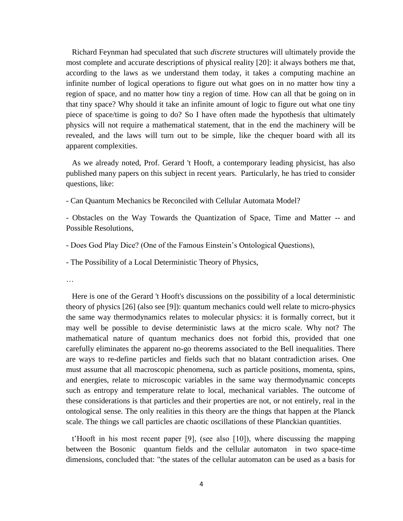Richard Feynman had speculated that such *discrete* structures will ultimately provide the most complete and accurate descriptions of physical reality [20]: it always bothers me that, according to the laws as we understand them today, it takes a computing machine an infinite number of logical operations to figure out what goes on in no matter how tiny a region of space, and no matter how tiny a region of time. How can all that be going on in that tiny space? Why should it take an infinite amount of logic to figure out what one tiny piece of space/time is going to do? So I have often made the hypothesis that ultimately physics will not require a mathematical statement, that in the end the machinery will be revealed, and the laws will turn out to be simple, like the chequer board with all its apparent complexities.

 As we already noted, Prof. Gerard 't Hooft, a contemporary leading physicist, has also published many papers on this subject in recent years. Particularly, he has tried to consider questions, like:

- Can Quantum Mechanics be Reconciled with Cellular Automata Model?

- Obstacles on the Way Towards the Quantization of Space, Time and Matter -- and Possible Resolutions,

- Does God Play Dice? (One of the Famous Einstein's Ontological Questions),

- The Possibility of a Local Deterministic Theory of Physics,

…

 Here is one of the Gerard 't Hooft's discussions on the possibility of a local deterministic theory of physics [26] (also see [9]): quantum mechanics could well relate to micro-physics the same way thermodynamics relates to molecular physics: it is formally correct, but it may well be possible to devise deterministic laws at the micro scale. Why not? The mathematical nature of quantum mechanics does not forbid this, provided that one carefully eliminates the apparent no-go theorems associated to the Bell inequalities. There are ways to re-define particles and fields such that no blatant contradiction arises. One must assume that all macroscopic phenomena, such as particle positions, momenta, spins, and energies, relate to microscopic variables in the same way thermodynamic concepts such as entropy and temperature relate to local, mechanical variables. The outcome of these considerations is that particles and their properties are not, or not entirely, real in the ontological sense. The only realities in this theory are the things that happen at the Planck scale. The things we call particles are chaotic oscillations of these Planckian quantities.

 t'Hooft in his most recent paper [9], (see also [10]), where discussing the mapping between the Bosonic quantum fields and the cellular automaton in two space-time dimensions, concluded that: "the states of the cellular automaton can be used as a basis for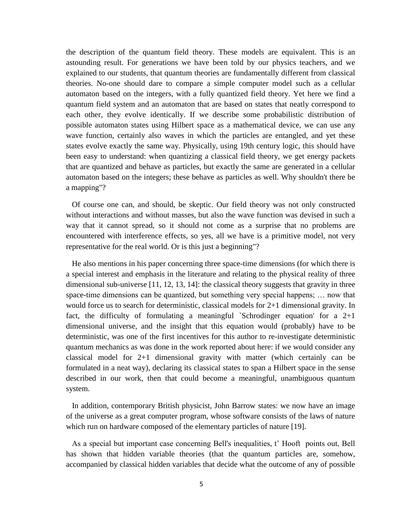the description of the quantum field theory. These models are equivalent. This is an astounding result. For generations we have been told by our physics teachers, and we explained to our students, that quantum theories are fundamentally different from classical theories. No-one should dare to compare a simple computer model such as a cellular automaton based on the integers, with a fully quantized field theory. Yet here we find a quantum field system and an automaton that are based on states that neatly correspond to each other, they evolve identically. If we describe some probabilistic distribution of possible automaton states using Hilbert space as a mathematical device, we can use any wave function, certainly also waves in which the particles are entangled, and yet these states evolve exactly the same way. Physically, using 19th century logic, this should have been easy to understand: when quantizing a classical field theory, we get energy packets that are quantized and behave as particles, but exactly the same are generated in a cellular automaton based on the integers; these behave as particles as well. Why shouldn't there be a mapping"?

 Of course one can, and should, be skeptic. Our field theory was not only constructed without interactions and without masses, but also the wave function was devised in such a way that it cannot spread, so it should not come as a surprise that no problems are encountered with interference effects, so yes, all we have is a primitive model, not very representative for the real world. Or is this just a beginning"?

 He also mentions in his paper concerning three space-time dimensions (for which there is a special interest and emphasis in the literature and relating to the physical reality of three dimensional sub-universe [11, 12, 13, 14]: the classical theory suggests that gravity in three space-time dimensions can be quantized, but something very special happens; … now that would force us to search for deterministic, classical models for 2+1 dimensional gravity. In fact, the difficulty of formulating a meaningful `Schrodinger equation' for a  $2+1$ dimensional universe, and the insight that this equation would (probably) have to be deterministic, was one of the first incentives for this author to re-investigate deterministic quantum mechanics as was done in the work reported about here: if we would consider any classical model for 2+1 dimensional gravity with matter (which certainly can be formulated in a neat way), declaring its classical states to span a Hilbert space in the sense described in our work, then that could become a meaningful, unambiguous quantum system.

 In addition, contemporary British physicist, John Barrow states: we now have an image of the universe as a great computer program, whose software consists of the laws of nature which run on hardware composed of the elementary particles of nature [19].

 As a special but important case concerning Bell's inequalities, t' Hooft points out, Bell has shown that hidden variable theories (that the quantum particles are, somehow, accompanied by classical hidden variables that decide what the outcome of any of possible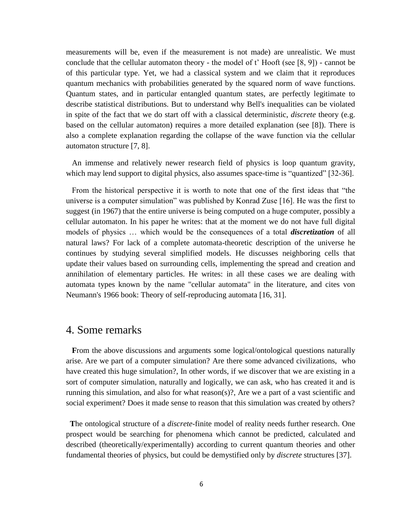measurements will be, even if the measurement is not made) are unrealistic. We must conclude that the cellular automaton theory - the model of t' Hooft (see [8, 9]) - cannot be of this particular type. Yet, we had a classical system and we claim that it reproduces quantum mechanics with probabilities generated by the squared norm of wave functions. Quantum states, and in particular entangled quantum states, are perfectly legitimate to describe statistical distributions. But to understand why Bell's inequalities can be violated in spite of the fact that we do start off with a classical deterministic, *discrete* theory (e.g. based on the cellular automaton) requires a more detailed explanation (see [8]). There is also a complete explanation regarding the collapse of the wave function via the cellular automaton structure [7, 8].

 An immense and relatively newer research field of physics is loop quantum gravity, which may lend support to digital physics, also assumes space-time is "quantized" [32-36].

 From the historical perspective it is worth to note that one of the first ideas that "the universe is a computer simulation" was published by Konrad Zuse [16]. He was the first to suggest (in 1967) that the entire universe is being computed on a huge computer, possibly a cellular automaton. In his paper he writes: that at the moment we do not have full digital models of physics … which would be the consequences of a total *discretization* of all natural laws? For lack of a complete automata-theoretic description of the universe he continues by studying several simplified models. He discusses neighboring cells that update their values based on surrounding cells, implementing the spread and creation and annihilation of elementary particles. He writes: in all these cases we are dealing with automata types known by the name "cellular automata" in the literature, and cites von Neumann's 1966 book: Theory of self-reproducing automata [16, 31].

## 4. Some remarks

 **F**rom the above discussions and arguments some logical/ontological questions naturally arise. Are we part of a computer simulation? Are there some advanced civilizations, who have created this huge simulation?, In other words, if we discover that we are existing in a sort of computer simulation, naturally and logically, we can ask, who has created it and is running this simulation, and also for what reason(s)?, Are we a part of a vast scientific and social experiment? Does it made sense to reason that this simulation was created by others?

 **T**he ontological structure of a *discrete*-finite model of reality needs further research. One prospect would be searching for phenomena which cannot be predicted, calculated and described (theoretically/experimentally) according to current quantum theories and other fundamental theories of physics, but could be demystified only by *discrete* structures [37].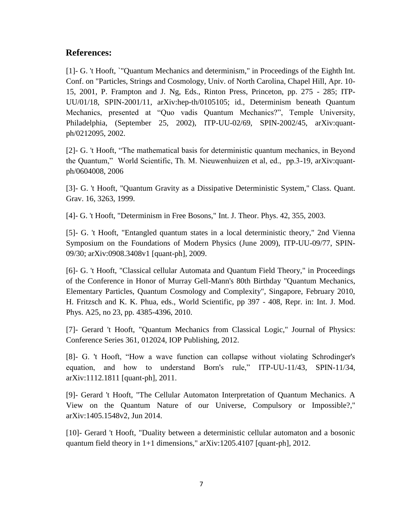#### **References:**

[1]- G. 't Hooft, `"Quantum Mechanics and determinism," in Proceedings of the Eighth Int. Conf. on "Particles, Strings and Cosmology, Univ. of North Carolina, Chapel Hill, Apr. 10- 15, 2001, P. Frampton and J. Ng, Eds., Rinton Press, Princeton, pp. 275 - 285; ITP-UU/01/18, SPIN-2001/11, arXiv:hep-th/0105105; id., Determinism beneath Quantum Mechanics, presented at "Quo vadis Quantum Mechanics?", Temple University, Philadelphia, (September 25, 2002), ITP-UU-02/69, SPIN-2002/45, arXiv:quantph/0212095, 2002.

[2]- G. 't Hooft, "The mathematical basis for deterministic quantum mechanics, in Beyond the Quantum," World Scientific, Th. M. Nieuwenhuizen et al, ed., pp.3-19, arXiv:quantph/0604008, 2006

[3]- G. 't Hooft, "Quantum Gravity as a Dissipative Deterministic System," Class. Quant. Grav. 16, 3263, 1999.

[4] - G. 't Hooft, "Determinism in Free Bosons," Int. J. Theor. Phys. 42, 355, 2003.

[5]- G. 't Hooft, "Entangled quantum states in a local deterministic theory," 2nd Vienna Symposium on the Foundations of Modern Physics (June 2009), ITP-UU-09/77, SPIN-09/30; arXiv:0908.3408v1 [quant-ph], 2009.

[6]- G. 't Hooft, "Classical cellular Automata and Quantum Field Theory," in Proceedings of the Conference in Honor of Murray Gell-Mann's 80th Birthday "Quantum Mechanics, Elementary Particles, Quantum Cosmology and Complexity", Singapore, February 2010, H. Fritzsch and K. K. Phua, eds., World Scientific, pp 397 - 408, Repr. in: Int. J. Mod. Phys. A25, no 23, pp. 4385-4396, 2010.

[7]- Gerard 't Hooft, "Quantum Mechanics from Classical Logic," Journal of Physics: Conference Series 361, 012024, IOP Publishing, 2012.

[8]- G. 't Hooft, "How a wave function can collapse without violating Schrodinger's equation, and how to understand Born's rule," ITP-UU-11/43, SPIN-11/34, arXiv:1112.1811 [quant-ph], 2011.

[9]- Gerard 't Hooft, "The Cellular Automaton Interpretation of Quantum Mechanics. A View on the Quantum Nature of our Universe, Compulsory or Impossible?," arXiv:1405.1548v2, Jun 2014.

[10]- Gerard 't Hooft, "Duality between a deterministic cellular automaton and a bosonic quantum field theory in 1+1 dimensions," arXiv:1205.4107 [quant-ph], 2012.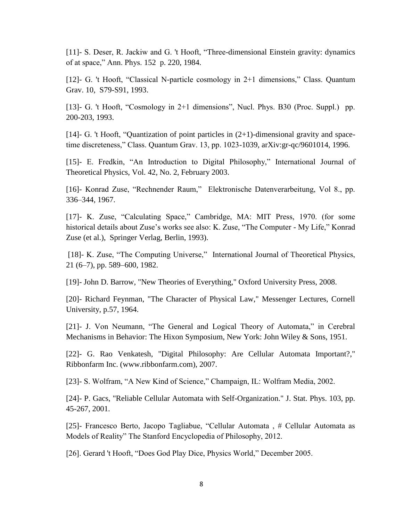[11]- S. Deser, R. Jackiw and G. 't Hooft, "Three-dimensional Einstein gravity: dynamics of at space," Ann. Phys. 152 p. 220, 1984.

[12]- G. 't Hooft, "Classical N-particle cosmology in 2+1 dimensions," Class. Quantum Grav. 10, S79-S91, 1993.

[13]- G. 't Hooft, "Cosmology in 2+1 dimensions", Nucl. Phys. B30 (Proc. Suppl.) pp. 200-203, 1993.

[14]- G. 't Hooft, "Quantization of point particles in (2+1)-dimensional gravity and spacetime discreteness," Class. Quantum Grav. 13, pp. 1023-1039, arXiv:gr-qc/9601014, 1996.

[15]- E. Fredkin, "An Introduction to Digital Philosophy," International Journal of Theoretical Physics, Vol. 42, No. 2, February 2003.

[16]- Konrad Zuse, "Rechnender Raum," Elektronische Datenverarbeitung, Vol 8., pp. 336–344, 1967.

[17]- K. Zuse, "Calculating Space," Cambridge, MA: MIT Press, 1970. (for some historical details about Zuse's works see also: K. Zuse, "The Computer - My Life," Konrad Zuse (et al.), Springer Verlag, Berlin, 1993).

[18]- K. Zuse, "The Computing Universe," International Journal of Theoretical Physics, 21 (6–7), pp. 589–600, 1982.

[19]- John D. Barrow, "New Theories of Everything," Oxford University Press, 2008.

[20]- Richard Feynman, "The Character of Physical Law," Messenger Lectures, Cornell University, p.57, 1964.

[21]- J. Von Neumann, "The General and Logical Theory of Automata," in Cerebral Mechanisms in Behavior: The Hixon Symposium, New York: John Wiley & Sons, 1951.

[22]- G. Rao Venkatesh, "Digital Philosophy: Are Cellular Automata Important?," Ribbonfarm Inc. (www.ribbonfarm.com), 2007.

[23]- S. Wolfram, "A New Kind of Science," Champaign, IL: Wolfram Media, 2002.

[24]- P. Gacs, "Reliable Cellular Automata with Self-Organization." J. Stat. Phys. 103, pp. 45-267, 2001.

[25]- Francesco Berto, Jacopo Tagliabue, "Cellular Automata , # Cellular Automata as Models of Reality" The Stanford Encyclopedia of Philosophy, 2012.

[26]. Gerard 't Hooft, "Does God Play Dice, Physics World," December 2005.